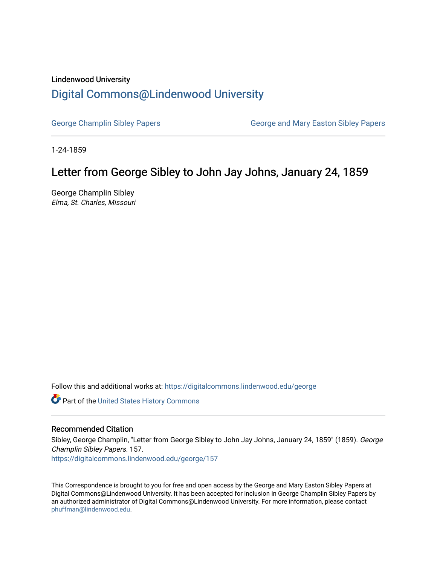## Lindenwood University

## [Digital Commons@Lindenwood University](https://digitalcommons.lindenwood.edu/)

[George Champlin Sibley Papers](https://digitalcommons.lindenwood.edu/george) George and Mary Easton Sibley Papers

1-24-1859

## Letter from George Sibley to John Jay Johns, January 24, 1859

George Champlin Sibley Elma, St. Charles, Missouri

Follow this and additional works at: [https://digitalcommons.lindenwood.edu/george](https://digitalcommons.lindenwood.edu/george?utm_source=digitalcommons.lindenwood.edu%2Fgeorge%2F157&utm_medium=PDF&utm_campaign=PDFCoverPages)

Part of the [United States History Commons](http://network.bepress.com/hgg/discipline/495?utm_source=digitalcommons.lindenwood.edu%2Fgeorge%2F157&utm_medium=PDF&utm_campaign=PDFCoverPages) 

## Recommended Citation

Sibley, George Champlin, "Letter from George Sibley to John Jay Johns, January 24, 1859" (1859). George Champlin Sibley Papers. 157.

[https://digitalcommons.lindenwood.edu/george/157](https://digitalcommons.lindenwood.edu/george/157?utm_source=digitalcommons.lindenwood.edu%2Fgeorge%2F157&utm_medium=PDF&utm_campaign=PDFCoverPages)

This Correspondence is brought to you for free and open access by the George and Mary Easton Sibley Papers at Digital Commons@Lindenwood University. It has been accepted for inclusion in George Champlin Sibley Papers by an authorized administrator of Digital Commons@Lindenwood University. For more information, please contact [phuffman@lindenwood.edu](mailto:phuffman@lindenwood.edu).